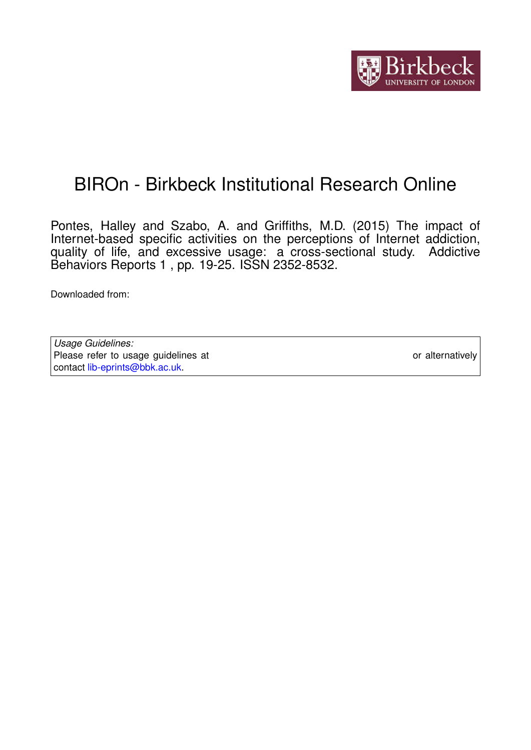

# BIROn - Birkbeck Institutional Research Online

Pontes, Halley and Szabo, A. and Griffiths, M.D. (2015) The impact of Internet-based specific activities on the perceptions of Internet addiction, quality of life, and excessive usage: a cross-sectional study. Addictive Behaviors Reports 1 , pp. 19-25. ISSN 2352-8532.

Downloaded from: <https://eprints.bbk.ac.uk/id/eprint/43474/>

*Usage Guidelines:* Please refer to usage guidelines at <https://eprints.bbk.ac.uk/policies.html> or alternatively contact [lib-eprints@bbk.ac.uk.](mailto:lib-eprints@bbk.ac.uk)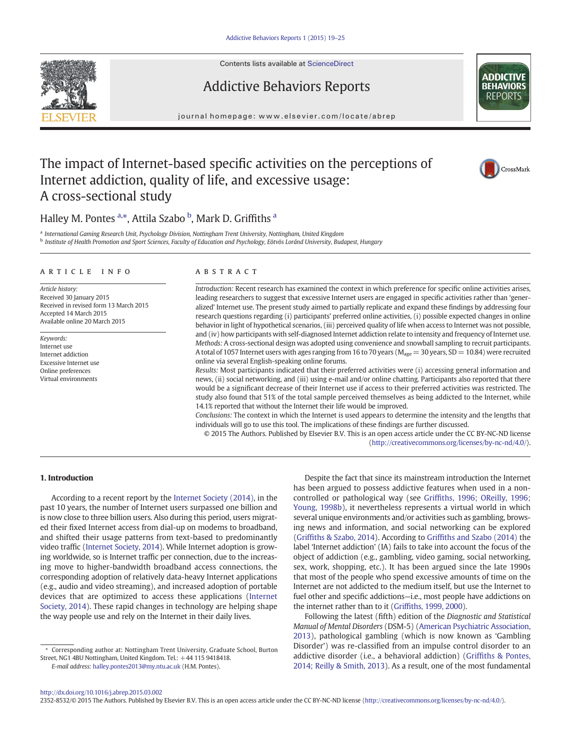

## Addictive Behaviors Reports

journal homepage: www.elsevier.com/locate/abrep



## The impact of Internet-based specific activities on the perceptions of Internet addiction, quality of life, and excessive usage: A cross-sectional study



## Halley M. Pontes <sup>a,\*</sup>, Attila Szabo <sup>b</sup>, Mark D. Griffiths <sup>a</sup>

a International Gaming Research Unit, Psychology Division, Nottingham Trent University, Nottingham, United Kingdom

**b Institute of Health Promotion and Sport Sciences, Faculty of Education and Psychology, Eötvös Loránd University, Budapest, Hungary** 

#### article info abstract

Article history: Received 30 January 2015 Received in revised form 13 March 2015 Accepted 14 March 2015 Available online 20 March 2015

Keywords: Internet use Internet addiction Excessive Internet use Online preferences Virtual environments

Introduction: Recent research has examined the context in which preference for specific online activities arises, leading researchers to suggest that excessive Internet users are engaged in specific activities rather than 'generalized' Internet use. The present study aimed to partially replicate and expand these findings by addressing four research questions regarding (i) participants' preferred online activities, (i) possible expected changes in online behavior in light of hypothetical scenarios, (iii) perceived quality of life when access to Internet was not possible, and (iv) how participants with self-diagnosed Internet addiction relate to intensity and frequency of Internet use. Methods: A cross-sectional design was adopted using convenience and snowball sampling to recruit participants. A total of 1057 Internet users with ages ranging from 16 to 70 years ( $M_{\text{age}}= 30$  years, SD = 10.84) were recruited online via several English-speaking online forums.

Results: Most participants indicated that their preferred activities were (i) accessing general information and news, (ii) social networking, and (iii) using e-mail and/or online chatting. Participants also reported that there would be a significant decrease of their Internet use if access to their preferred activities was restricted. The study also found that 51% of the total sample perceived themselves as being addicted to the Internet, while 14.1% reported that without the Internet their life would be improved.

Conclusions: The context in which the Internet is used appears to determine the intensity and the lengths that individuals will go to use this tool. The implications of these findings are further discussed.

© 2015 The Authors. Published by Elsevier B.V. This is an open access article under the CC BY-NC-ND license ([http://creativecommons.org/licenses/by-nc-nd/4.0/\)](http://creativecommons.org/licenses/by-nc-nd/4.0/).

### 1. Introduction

According to a recent report by the [Internet Society \(2014\)](#page-6-0), in the past 10 years, the number of Internet users surpassed one billion and is now close to three billion users. Also during this period, users migrated their fixed Internet access from dial-up on modems to broadband, and shifted their usage patterns from text-based to predominantly video traffic ([Internet Society, 2014\)](#page-6-0). While Internet adoption is growing worldwide, so is Internet traffic per connection, due to the increasing move to higher-bandwidth broadband access connections, the corresponding adoption of relatively data-heavy Internet applications (e.g., audio and video streaming), and increased adoption of portable devices that are optimized to access these applications ([Internet](#page-6-0) [Society, 2014](#page-6-0)). These rapid changes in technology are helping shape the way people use and rely on the Internet in their daily lives.

⁎ Corresponding author at: Nottingham Trent University, Graduate School, Burton Street, NG1 4BU Nottingham, United Kingdom. Tel.: +44 115 9418418.

E-mail address: [halley.pontes2013@my.ntu.ac.uk](mailto:halley.pontes2013@my.ntu.ac.uk) (H.M. Pontes).

Despite the fact that since its mainstream introduction the Internet has been argued to possess addictive features when used in a noncontrolled or pathological way (see Griffi[ths, 1996; OReilly, 1996;](#page-6-0) [Young, 1998b\)](#page-6-0), it nevertheless represents a virtual world in which several unique environments and/or activities such as gambling, browsing news and information, and social networking can be explored (Griffi[ths & Szabo, 2014](#page-6-0)). According to Griffi[ths and Szabo \(2014\)](#page-6-0) the label 'Internet addiction' (IA) fails to take into account the focus of the object of addiction (e.g., gambling, video gaming, social networking, sex, work, shopping, etc.). It has been argued since the late 1990s that most of the people who spend excessive amounts of time on the Internet are not addicted to the medium itself, but use the Internet to fuel other and specific addictions—i.e., most people have addictions on the internet rather than to it (Griffi[ths, 1999, 2000](#page-6-0)).

Following the latest (fifth) edition of the Diagnostic and Statistical Manual of Mental Disorders (DSM-5) [\(American Psychiatric Association,](#page-6-0) [2013\)](#page-6-0), pathological gambling (which is now known as 'Gambling Disorder') was re-classified from an impulse control disorder to an addictive disorder (i.e., a behavioral addiction) (Griffi[ths & Pontes,](#page-6-0) [2014; Reilly & Smith, 2013](#page-6-0)). As a result, one of the most fundamental

2352-8532/© 2015 The Authors. Published by Elsevier B.V. This is an open access article under the CC BY-NC-ND license [\(http://creativecommons.org/licenses/by-nc-nd/4.0/\)](http://creativecommons.org/licenses/by-nc-nd/4.0/).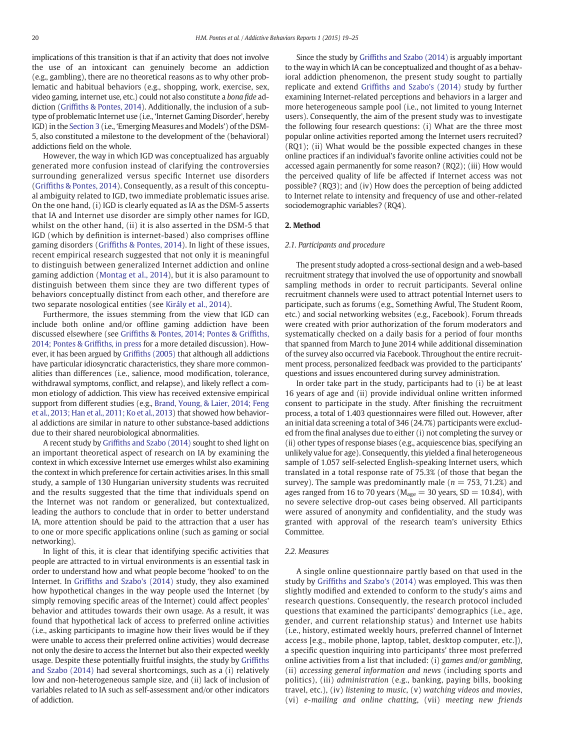implications of this transition is that if an activity that does not involve the use of an intoxicant can genuinely become an addiction (e.g., gambling), there are no theoretical reasons as to why other problematic and habitual behaviors (e.g., shopping, work, exercise, sex, video gaming, internet use, etc.) could not also constitute a bona fide addiction (Griffi[ths & Pontes, 2014\)](#page-6-0). Additionally, the inclusion of a subtype of problematic Internet use (i.e., 'Internet Gaming Disorder', hereby IGD) in the [Section 3](#page-3-0) (i.e., 'Emerging Measures and Models') of the DSM-5, also constituted a milestone to the development of the (behavioral) addictions field on the whole.

However, the way in which IGD was conceptualized has arguably generated more confusion instead of clarifying the controversies surrounding generalized versus specific Internet use disorders (Griffi[ths & Pontes, 2014\)](#page-6-0). Consequently, as a result of this conceptual ambiguity related to IGD, two immediate problematic issues arise. On the one hand, (i) IGD is clearly equated as IA as the DSM-5 asserts that IA and Internet use disorder are simply other names for IGD, whilst on the other hand, (ii) it is also asserted in the DSM-5 that IGD (which by definition is internet-based) also comprises offline gaming disorders (Griffi[ths & Pontes, 2014](#page-6-0)). In light of these issues, recent empirical research suggested that not only it is meaningful to distinguish between generalized Internet addiction and online gaming addiction [\(Montag et al., 2014\)](#page-7-0), but it is also paramount to distinguish between them since they are two different types of behaviors conceptually distinct from each other, and therefore are two separate nosological entities (see [Király et al., 2014](#page-6-0)).

Furthermore, the issues stemming from the view that IGD can include both online and/or offline gaming addiction have been discussed elsewhere (see Griffi[ths & Pontes, 2014; Pontes & Grif](#page-6-0)fiths, [2014; Pontes & Grif](#page-6-0)fiths, in press for a more detailed discussion). However, it has been argued by Griffi[ths \(2005\)](#page-6-0) that although all addictions have particular idiosyncratic characteristics, they share more commonalities than differences (i.e., salience, mood modification, tolerance, withdrawal symptoms, conflict, and relapse), and likely reflect a common etiology of addiction. This view has received extensive empirical support from different studies (e.g., [Brand, Young, & Laier, 2014; Feng](#page-6-0) [et al., 2013; Han et al., 2011; Ko et al., 2013\)](#page-6-0) that showed how behavioral addictions are similar in nature to other substance-based addictions due to their shared neurobiological abnormalities.

A recent study by Griffi[ths and Szabo \(2014\)](#page-6-0) sought to shed light on an important theoretical aspect of research on IA by examining the context in which excessive Internet use emerges whilst also examining the context in which preference for certain activities arises. In this small study, a sample of 130 Hungarian university students was recruited and the results suggested that the time that individuals spend on the Internet was not random or generalized, but contextualized, leading the authors to conclude that in order to better understand IA, more attention should be paid to the attraction that a user has to one or more specific applications online (such as gaming or social networking).

In light of this, it is clear that identifying specific activities that people are attracted to in virtual environments is an essential task in order to understand how and what people become 'hooked' to on the Internet. In Griffi[ths and Szabo's \(2014\)](#page-6-0) study, they also examined how hypothetical changes in the way people used the Internet (by simply removing specific areas of the Internet) could affect peoples' behavior and attitudes towards their own usage. As a result, it was found that hypothetical lack of access to preferred online activities (i.e., asking participants to imagine how their lives would be if they were unable to access their preferred online activities) would decrease not only the desire to access the Internet but also their expected weekly usage. Despite these potentially fruitful insights, the study by [Grif](#page-6-0)fiths [and Szabo \(2014\)](#page-6-0) had several shortcomings, such as a (i) relatively low and non-heterogeneous sample size, and (ii) lack of inclusion of variables related to IA such as self-assessment and/or other indicators of addiction.

Since the study by Griffi[ths and Szabo \(2014\)](#page-6-0) is arguably important to the way in which IA can be conceptualized and thought of as a behavioral addiction phenomenon, the present study sought to partially replicate and extend Griffi[ths and Szabo's \(2014\)](#page-6-0) study by further examining Internet-related perceptions and behaviors in a larger and more heterogeneous sample pool (i.e., not limited to young Internet users). Consequently, the aim of the present study was to investigate the following four research questions: (i) What are the three most popular online activities reported among the Internet users recruited? (RQ1); (ii) What would be the possible expected changes in these online practices if an individual's favorite online activities could not be accessed again permanently for some reason? (RQ2); (iii) How would the perceived quality of life be affected if Internet access was not possible? (RQ3); and (iv) How does the perception of being addicted to Internet relate to intensity and frequency of use and other-related sociodemographic variables? (RQ4).

#### 2. Method

#### 2.1. Participants and procedure

The present study adopted a cross-sectional design and a web-based recruitment strategy that involved the use of opportunity and snowball sampling methods in order to recruit participants. Several online recruitment channels were used to attract potential Internet users to participate, such as forums (e.g., Something Awful, The Student Room, etc.) and social networking websites (e.g., Facebook). Forum threads were created with prior authorization of the forum moderators and systematically checked on a daily basis for a period of four months that spanned from March to June 2014 while additional dissemination of the survey also occurred via Facebook. Throughout the entire recruitment process, personalized feedback was provided to the participants' questions and issues encountered during survey administration.

In order take part in the study, participants had to (i) be at least 16 years of age and (ii) provide individual online written informed consent to participate in the study. After finishing the recruitment process, a total of 1.403 questionnaires were filled out. However, after an initial data screening a total of 346 (24.7%) participants were excluded from the final analyses due to either (i) not completing the survey or (ii) other types of response biases (e.g., acquiescence bias, specifying an unlikely value for age). Consequently, this yielded a final heterogeneous sample of 1.057 self-selected English-speaking Internet users, which translated in a total response rate of 75.3% (of those that began the survey). The sample was predominantly male ( $n = 753, 71.2\%$ ) and ages ranged from 16 to 70 years ( $M_{\text{age}} = 30$  years, SD = 10.84), with no severe selective drop-out cases being observed. All participants were assured of anonymity and confidentiality, and the study was granted with approval of the research team's university Ethics Committee.

#### 2.2. Measures

A single online questionnaire partly based on that used in the study by Griffi[ths and Szabo's \(2014\)](#page-6-0) was employed. This was then slightly modified and extended to conform to the study's aims and research questions. Consequently, the research protocol included questions that examined the participants' demographics (i.e., age, gender, and current relationship status) and Internet use habits (i.e., history, estimated weekly hours, preferred channel of Internet access [e.g., mobile phone, laptop, tablet, desktop computer, etc.]), a specific question inquiring into participants' three most preferred online activities from a list that included: (i) games and/or gambling, (ii) accessing general information and news (including sports and politics), (iii) administration (e.g., banking, paying bills, booking travel, etc.), (iv) listening to music, (v) watching videos and movies, (vi) e-mailing and online chatting, (vii) meeting new friends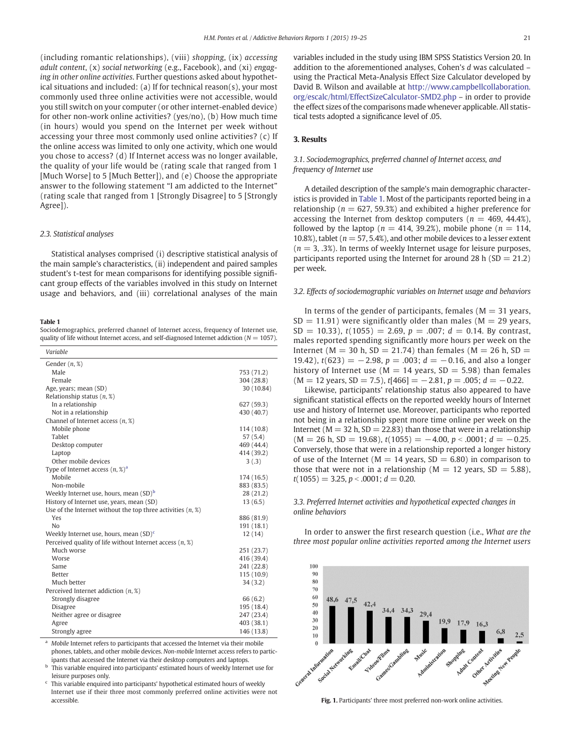<span id="page-3-0"></span>(including romantic relationships), (viii) shopping, (ix) accessing adult content, (x) social networking (e.g., Facebook), and (xi) engaging in other online activities. Further questions asked about hypothetical situations and included: (a) If for technical reason(s), your most commonly used three online activities were not accessible, would you still switch on your computer (or other internet-enabled device) for other non-work online activities? (yes/no), (b) How much time (in hours) would you spend on the Internet per week without accessing your three most commonly used online activities? (c) If the online access was limited to only one activity, which one would you chose to access? (d) If Internet access was no longer available, the quality of your life would be (rating scale that ranged from 1 [Much Worse] to 5 [Much Better]), and (e) Choose the appropriate answer to the following statement "I am addicted to the Internet" (rating scale that ranged from 1 [Strongly Disagree] to 5 [Strongly Agree]).

#### 2.3. Statistical analyses

Statistical analyses comprised (i) descriptive statistical analysis of the main sample's characteristics, (ii) independent and paired samples student's t-test for mean comparisons for identifying possible significant group effects of the variables involved in this study on Internet usage and behaviors, and (iii) correlational analyses of the main

#### Table 1

Sociodemographics, preferred channel of Internet access, frequency of Internet use, quality of life without Internet access, and self-diagnosed Internet addiction ( $N = 1057$ ).

| Variable                                                             |            |
|----------------------------------------------------------------------|------------|
| Gender $(n, %)$                                                      |            |
| Male                                                                 | 753 (71.2) |
| Female                                                               | 304 (28.8) |
| Age, years; mean (SD)                                                | 30 (10.84) |
| Relationship status $(n, \mathcal{X})$                               |            |
| In a relationship                                                    | 627 (59.3) |
| Not in a relationship                                                | 430 (40.7) |
| Channel of Internet access $(n, \mathcal{X})$                        |            |
| Mobile phone                                                         | 114 (10.8) |
| Tablet                                                               | 57(5.4)    |
| Desktop computer                                                     | 469 (44.4) |
| Laptop                                                               | 414 (39.2) |
| Other mobile devices                                                 | 3(.3)      |
| Type of Internet access $(n, \mathcal{X})^d$                         |            |
| Mobile                                                               | 174 (16.5) |
| Non-mobile                                                           | 883 (83.5) |
| Weekly Internet use, hours, mean (SD) <sup>b</sup>                   | 28 (21.2)  |
| History of Internet use, years, mean (SD)                            | 13(6.5)    |
| Use of the Internet without the top three activities $(n, %)$        |            |
| Yes                                                                  | 886 (81.9) |
| No                                                                   | 191 (18.1) |
| Weekly Internet use, hours, mean $(SD)^c$                            | 12(14)     |
| Perceived quality of life without Internet access $(n, \mathcal{X})$ |            |
| Much worse                                                           | 251 (23.7) |
| Worse                                                                | 416 (39.4) |
| Same                                                                 | 241 (22.8) |
| <b>Better</b>                                                        | 115(10.9)  |
| Much better                                                          | 34(3.2)    |
| Perceived Internet addiction $(n, \mathcal{X})$                      |            |
| Strongly disagree                                                    | 66 (6.2)   |
| Disagree                                                             | 195 (18.4) |
| Neither agree or disagree                                            | 247 (23.4) |
| Agree                                                                | 403 (38.1) |
| Strongly agree                                                       | 146 (13.8) |

Mobile Internet refers to participants that accessed the Internet via their mobile phones, tablets, and other mobile devices. Non-mobile Internet access refers to participants that accessed the Internet via their desktop computers and laptops.

**b** This variable enquired into participants' estimated hours of weekly Internet use for leisure purposes only.

This variable enquired into participants' hypothetical estimated hours of weekly Internet use if their three most commonly preferred online activities were not accessible. Fig. 1. Participants' three most preferred non-work online activities.

variables included in the study using IBM SPSS Statistics Version 20. In addition to the aforementioned analyses, Cohen's d was calculated – using the Practical Meta-Analysis Effect Size Calculator developed by David B. Wilson and available at [http://www.campbellcollaboration.](http://www.campbellcollaboration.org/escalc/html/EffectSizeCalculator-SMD2.php) [org/escalc/html/EffectSizeCalculator-SMD2.php](http://www.campbellcollaboration.org/escalc/html/EffectSizeCalculator-SMD2.php) – in order to provide the effect sizes of the comparisons made whenever applicable. All statistical tests adopted a significance level of .05.

#### 3. Results

### 3.1. Sociodemographics, preferred channel of Internet access, and frequency of Internet use

A detailed description of the sample's main demographic characteristics is provided in Table 1. Most of the participants reported being in a relationship ( $n = 627, 59.3\%$ ) and exhibited a higher preference for accessing the Internet from desktop computers ( $n = 469, 44.4\%$ ), followed by the laptop ( $n = 414$ , 39.2%), mobile phone ( $n = 114$ , 10.8%), tablet ( $n = 57, 5.4%$ ), and other mobile devices to a lesser extent  $(n = 3, 3\%)$ . In terms of weekly Internet usage for leisure purposes, participants reported using the Internet for around 28 h ( $SD = 21.2$ ) per week.

#### 3.2. Effects of sociodemographic variables on Internet usage and behaviors

In terms of the gender of participants, females ( $M = 31$  years,  $SD = 11.91$ ) were significantly older than males ( $M = 29$  years,  $SD = 10.33$ ),  $t(1055) = 2.69$ ,  $p = .007$ ;  $d = 0.14$ . By contrast, males reported spending significantly more hours per week on the Internet ( $M = 30$  h,  $SD = 21.74$ ) than females ( $M = 26$  h,  $SD =$ 19.42),  $t(623) = -2.98$ ,  $p = .003$ ;  $d = -0.16$ , and also a longer history of Internet use ( $M = 14$  years,  $SD = 5.98$ ) than females  $(M = 12 \text{ years}, SD = 7.5), t[466] = -2.81, p = .005; d = -0.22.$ 

Likewise, participants' relationship status also appeared to have significant statistical effects on the reported weekly hours of Internet use and history of Internet use. Moreover, participants who reported not being in a relationship spent more time online per week on the Internet ( $M = 32$  h,  $SD = 22.83$ ) than those that were in a relationship  $(M = 26 \text{ h}, SD = 19.68), t(1055) = -4.00, p < .0001; d = -0.25.$ Conversely, those that were in a relationship reported a longer history of use of the Internet ( $M = 14$  years,  $SD = 6.80$ ) in comparison to those that were not in a relationship ( $M = 12$  years,  $SD = 5.88$ ),  $t(1055) = 3.25, p < .0001; d = 0.20.$ 

### 3.3. Preferred Internet activities and hypothetical expected changes in online behaviors

In order to answer the first research question (i.e., What are the three most popular online activities reported among the Internet users

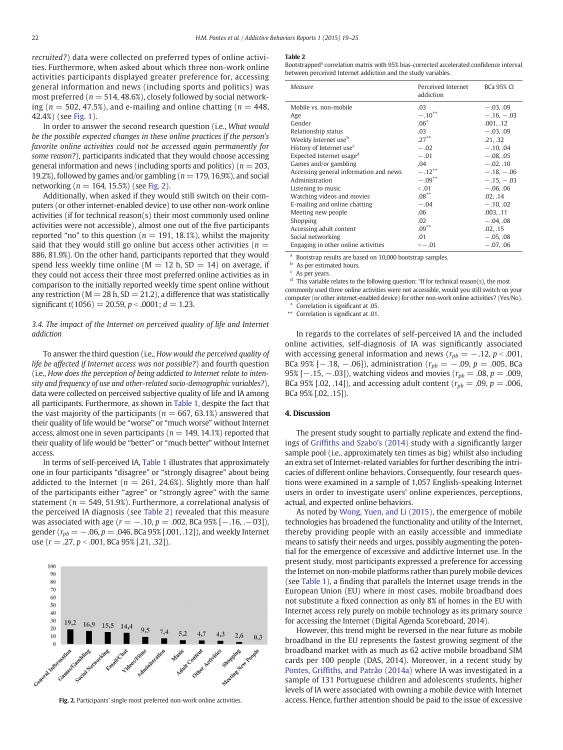<span id="page-4-0"></span>recruited?) data were collected on preferred types of online activities. Furthermore, when asked about which three non-work online activities participants displayed greater preference for, accessing general information and news (including sports and politics) was most preferred ( $n = 514, 48.6\%$ ), closely followed by social networking ( $n = 502, 47.5\%$ ), and e-mailing and online chatting ( $n = 448$ , 42.4%) (see [Fig. 1\)](#page-3-0).

In order to answer the second research question (i.e., What would be the possible expected changes in these online practices if the person's favorite online activities could not be accessed again permanently for some reason?), participants indicated that they would choose accessing general information and news (including sports and politics) ( $n = 203$ , 19.2%), followed by games and/or gambling ( $n = 179, 16.9%$ ), and social networking ( $n = 164, 15.5\%$ ) (see Fig. 2).

Additionally, when asked if they would still switch on their computers (or other internet-enabled device) to use other non-work online activities (if for technical reason(s) their most commonly used online activities were not accessible), almost one out of the five participants reported "no" to this question ( $n = 191, 18.1\%$ ), whilst the majority said that they would still go online but access other activities ( $n =$ 886, 81.9%). On the other hand, participants reported that they would spend less weekly time online ( $M = 12$  h,  $SD = 14$ ) on average, if they could not access their three most preferred online activities as in comparison to the initially reported weekly time spent online without any restriction ( $M = 28$  h,  $SD = 21.2$ ), a difference that was statistically significant  $t(1056) = 20.59$ ,  $p < .0001$ ;  $d = 1.23$ .

#### 3.4. The impact of the Internet on perceived quality of life and Internet addiction

To answer the third question (i.e., How would the perceived quality of life be affected if Internet access was not possible?) and fourth question (i.e., How does the perception of being addicted to Internet relate to intensity and frequency of use and other-related socio-demographic variables?), data were collected on perceived subjective quality of life and IA among all participants. Furthermore, as shown in [Table 1,](#page-3-0) despite the fact that the vast majority of the participants ( $n = 667, 63.1\%$ ) answered that their quality of life would be "worse" or "much worse" without Internet access, almost one in seven participants ( $n = 149, 14.1\%$ ) reported that their quality of life would be "better" or "much better" without Internet access.

In terms of self-perceived IA, [Table 1](#page-3-0) illustrates that approximately one in four participants "disagree" or "strongly disagree" about being addicted to the Internet ( $n = 261, 24.6\%$ ). Slightly more than half of the participants either "agree" or "strongly agree" with the same statement ( $n = 549, 51.9\%$ ). Furthermore, a correlational analysis of the perceived IA diagnosis (see Table 2) revealed that this measure was associated with age ( $r = -.10$ ,  $p = .002$ , BCa 95% [ $-.16, -03$ ]), gender ( $r_{pb} = -.06$ ,  $p = .046$ , BCa 95% [.001, .12]), and weekly Internet use ( $r = .27$ ,  $p < .001$ , BCa 95% [.21, .32]).

Table 2

Bootstrapped<sup>a</sup> correlation matrix with 95% bias-corrected accelerated confidence interval between perceived Internet addiction and the study variables.

| Measure                                | Perceived Internet<br>addiction | <b>BCa 95% CI</b> |
|----------------------------------------|---------------------------------|-------------------|
| Mobile vs. non-mobile                  | .03                             | $-.03, .09$       |
| Age                                    | $-.10***$                       | $-.16, -.03$      |
| Gender                                 | $.06*$                          | .001, .12         |
| Relationship status                    | .03                             | $-.03, .09$       |
| Weekly Internet use <sup>b</sup>       | $.27***$                        | .21, .32          |
| History of Internet use <sup>c</sup>   | $-.02$                          | $-.10, .04$       |
| Expected Internet usage <sup>d</sup>   | $-.01$                          | $-.08, .05$       |
| Games and/or gambling                  | .04                             | $-.02, .10$       |
| Accessing general information and news | $-.12***$                       | $-.18.-.06$       |
| Administration                         | $-.09***$                       | $-.15, -.03$      |
| Listening to music                     | < 0.01                          | $-.06, .06$       |
| Watching videos and movies             | $.08***$                        | .02, .14          |
| E-mailing and online chatting          | $-.04$                          | $-.10, .02$       |
| Meeting new people                     | .06                             | .003, .11         |
| Shopping                               | .02                             | $-.04, .08$       |
| Accessing adult content                | $.09***$                        | .02, .15          |
| Social networking                      | .01                             | $-.05, .08$       |
| Engaging in other online activities    | $\le -.01$                      | $-.07, .06$       |

 $a$  Bootstrap results are based on 10,000 bootstrap samples.

As per estimated hours.

As per years.

This variable relates to the following question: "If for technical reason(s), the most commonly used three online activities were not accessible, would you still switch on your computer (or other internet-enabled device) for other non-work online activities? (Yes/No).

⁎ Correlation is significant at .05.

⁎⁎ Correlation is significant at .01.

In regards to the correlates of self-perceived IA and the included online activities, self-diagnosis of IA was significantly associated with accessing general information and news ( $r_{pb} = -.12$ ,  $p < .001$ , BCa 95% [−.18, −.06]), administration ( $r_{pb} = -.09$ ,  $p = .005$ , BCa 95% [ $-.15, -.03$ ]), watching videos and movies ( $r_{pb} = .08, p = .009$ , BCa 95% [.02, .14]), and accessing adult content ( $r_{pb} = .09$ ,  $p = .006$ , BCa 95% [.02, .15]).

#### 4. Discussion

The present study sought to partially replicate and extend the findings of Griffi[ths and Szabo's \(2014\)](#page-6-0) study with a significantly larger sample pool (i.e., approximately ten times as big) whilst also including an extra set of Internet-related variables for further describing the intricacies of different online behaviors. Consequently, four research questions were examined in a sample of 1,057 English-speaking Internet users in order to investigate users' online experiences, perceptions, actual, and expected online behaviors.

As noted by [Wong, Yuen, and Li \(2015\),](#page-7-0) the emergence of mobile technologies has broadened the functionality and utility of the Internet, thereby providing people with an easily accessible and immediate means to satisfy their needs and urges, possibly augmenting the potential for the emergence of excessive and addictive Internet use. In the present study, most participants expressed a preference for accessing the Internet on non-mobile platforms rather than purely mobile devices (see [Table 1\)](#page-3-0), a finding that parallels the Internet usage trends in the European Union (EU) where in most cases, mobile broadband does not substitute a fixed connection as only 8% of homes in the EU with Internet access rely purely on mobile technology as its primary source for accessing the Internet (Digital Agenda Scoreboard, 2014).

However, this trend might be reversed in the near future as mobile broadband in the EU represents the fastest growing segment of the broadband market with as much as 62 active mobile broadband SIM cards per 100 people (DAS, 2014). Moreover, in a recent study by Pontes, Griffi[ths, and Patrão \(2014a\)](#page-7-0) where IA was investigated in a sample of 131 Portuguese children and adolescents students, higher levels of IA were associated with owning a mobile device with Internet Fig. 2. Participants' single most preferred non-work online activities. access. Hence, further attention should be paid to the issue of excessive

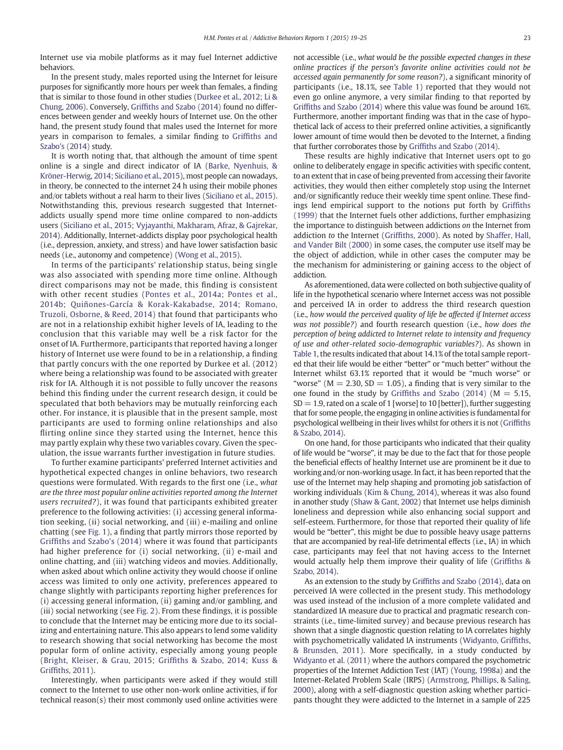Internet use via mobile platforms as it may fuel Internet addictive behaviors.

In the present study, males reported using the Internet for leisure purposes for significantly more hours per week than females, a finding that is similar to those found in other studies [\(Durkee et al., 2012; Li &](#page-6-0) [Chung, 2006\)](#page-6-0). Conversely, Griffi[ths and Szabo \(2014\)](#page-6-0) found no differences between gender and weekly hours of Internet use. On the other hand, the present study found that males used the Internet for more years in comparison to females, a similar finding to Griffi[ths and](#page-6-0) [Szabo's \(2014\)](#page-6-0) study.

It is worth noting that, that although the amount of time spent online is a single and direct indicator of IA ([Barke, Nyenhuis, &](#page-6-0) [Kröner-Herwig, 2014; Siciliano et al., 2015](#page-6-0)), most people can nowadays, in theory, be connected to the internet 24 h using their mobile phones and/or tablets without a real harm to their lives ([Siciliano et al., 2015](#page-7-0)). Notwithstanding this, previous research suggested that Internetaddicts usually spend more time online compared to non-addicts users [\(Siciliano et al., 2015; Vyjayanthi, Makharam, Afraz, & Gajrekar,](#page-7-0) [2014](#page-7-0)). Additionally, Internet-addicts display poor psychological health (i.e., depression, anxiety, and stress) and have lower satisfaction basic needs (i.e., autonomy and competence) [\(Wong et al., 2015](#page-7-0)).

In terms of the participants' relationship status, being single was also associated with spending more time online. Although direct comparisons may not be made, this finding is consistent with other recent studies ([Pontes et al., 2014a; Pontes et al.,](#page-7-0) [2014b; Quiñones-García & Korak-Kakabadse, 2014; Romano,](#page-7-0) [Truzoli, Osborne, & Reed, 2014](#page-7-0)) that found that participants who are not in a relationship exhibit higher levels of IA, leading to the conclusion that this variable may well be a risk factor for the onset of IA. Furthermore, participants that reported having a longer history of Internet use were found to be in a relationship, a finding that partly concurs with the one reported by Durkee et al. (2012) where being a relationship was found to be associated with greater risk for IA. Although it is not possible to fully uncover the reasons behind this finding under the current research design, it could be speculated that both behaviors may be mutually reinforcing each other. For instance, it is plausible that in the present sample, most participants are used to forming online relationships and also flirting online since they started using the Internet, hence this may partly explain why these two variables covary. Given the speculation, the issue warrants further investigation in future studies.

To further examine participants' preferred Internet activities and hypothetical expected changes in online behaviors, two research questions were formulated. With regards to the first one (i.e., what are the three most popular online activities reported among the Internet users recruited?), it was found that participants exhibited greater preference to the following activities: (i) accessing general information seeking, (ii) social networking, and (iii) e-mailing and online chatting (see [Fig. 1\)](#page-3-0), a finding that partly mirrors those reported by Griffi[ths and Szabo's \(2014\)](#page-6-0) where it was found that participants had higher preference for (i) social networking, (ii) e-mail and online chatting, and (iii) watching videos and movies. Additionally, when asked about which online activity they would choose if online access was limited to only one activity, preferences appeared to change slightly with participants reporting higher preferences for (i) accessing general information, (ii) gaming and/or gambling, and (iii) social networking (see [Fig. 2\)](#page-4-0). From these findings, it is possible to conclude that the Internet may be enticing more due to its socializing and entertaining nature. This also appears to lend some validity to research showing that social networking has become the most popular form of online activity, especially among young people [\(Bright, Kleiser, & Grau, 2015; Grif](#page-6-0)fiths & Szabo, 2014; Kuss & Griffi[ths, 2011\)](#page-6-0).

Interestingly, when participants were asked if they would still connect to the Internet to use other non-work online activities, if for technical reason(s) their most commonly used online activities were not accessible (i.e., what would be the possible expected changes in these online practices if the person's favorite online activities could not be accessed again permanently for some reason?), a significant minority of participants (i.e., 18.1%, see [Table 1](#page-3-0)) reported that they would not even go online anymore, a very similar finding to that reported by Griffi[ths and Szabo \(2014\)](#page-6-0) where this value was found be around 16%. Furthermore, another important finding was that in the case of hypothetical lack of access to their preferred online activities, a significantly lower amount of time would then be devoted to the Internet, a finding that further corroborates those by Griffi[ths and Szabo \(2014\)](#page-6-0).

These results are highly indicative that Internet users opt to go online to deliberately engage in specific activities with specific content, to an extent that in case of being prevented from accessing their favorite activities, they would then either completely stop using the Internet and/or significantly reduce their weekly time spent online. These findings lend empirical support to the notions put forth by [Grif](#page-6-0)fiths [\(1999\)](#page-6-0) that the Internet fuels other addictions, further emphasizing the importance to distinguish between addictions on the Internet from addiction to the Internet (Griffi[ths, 2000](#page-6-0)). As noted by [Shaffer, Hall,](#page-7-0) [and Vander Bilt \(2000\)](#page-7-0) in some cases, the computer use itself may be the object of addiction, while in other cases the computer may be the mechanism for administering or gaining access to the object of addiction.

As aforementioned, data were collected on both subjective quality of life in the hypothetical scenario where Internet access was not possible and perceived IA in order to address the third research question (i.e., how would the perceived quality of life be affected if Internet access was not possible?) and fourth research question (i.e., how does the perception of being addicted to Internet relate to intensity and frequency of use and other-related socio-demographic variables?). As shown in [Table 1](#page-3-0), the results indicated that about 14.1% of the total sample reported that their life would be either "better" or "much better" without the Internet whilst 63.1% reported that it would be "much worse" or "worse" ( $M = 2.30$ ,  $SD = 1.05$ ), a finding that is very similar to the one found in the study by Griffi[ths and Szabo \(2014\)](#page-6-0) ( $M = 5.15$ ,  $SD = 1.9$ , rated on a scale of 1 [worse] to 10 [better]), further suggesting that for some people, the engaging in online activities is fundamental for psychological wellbeing in their lives whilst for others it is not ([Grif](#page-6-0)fiths [& Szabo, 2014](#page-6-0)).

On one hand, for those participants who indicated that their quality of life would be "worse", it may be due to the fact that for those people the beneficial effects of healthy Internet use are prominent be it due to working and/or non-working usage. In fact, it has been reported that the use of the Internet may help shaping and promoting job satisfaction of working individuals ([Kim & Chung, 2014](#page-6-0)), whereas it was also found in another study ([Shaw & Gant, 2002](#page-7-0)) that Internet use helps diminish loneliness and depression while also enhancing social support and self-esteem. Furthermore, for those that reported their quality of life would be "better", this might be due to possible heavy usage patterns that are accompanied by real-life detrimental effects (i.e., IA) in which case, participants may feel that not having access to the Internet would actually help them improve their quality of life (Griffi[ths &](#page-6-0) [Szabo, 2014\)](#page-6-0).

As an extension to the study by Griffi[ths and Szabo \(2014\),](#page-6-0) data on perceived IA were collected in the present study. This methodology was used instead of the inclusion of a more complete validated and standardized IA measure due to practical and pragmatic research constraints (i.e., time-limited survey) and because previous research has shown that a single diagnostic question relating to IA correlates highly with psychometrically validated IA instruments ([Widyanto, Grif](#page-7-0)fiths, [& Brunsden, 2011](#page-7-0)). More specifically, in a study conducted by [Widyanto et al. \(2011\)](#page-7-0) where the authors compared the psychometric properties of the Internet Addiction Test (IAT) [\(Young, 1998a\)](#page-7-0) and the Internet-Related Problem Scale (IRPS) ([Armstrong, Phillips, & Saling,](#page-6-0) [2000\)](#page-6-0), along with a self-diagnostic question asking whether participants thought they were addicted to the Internet in a sample of 225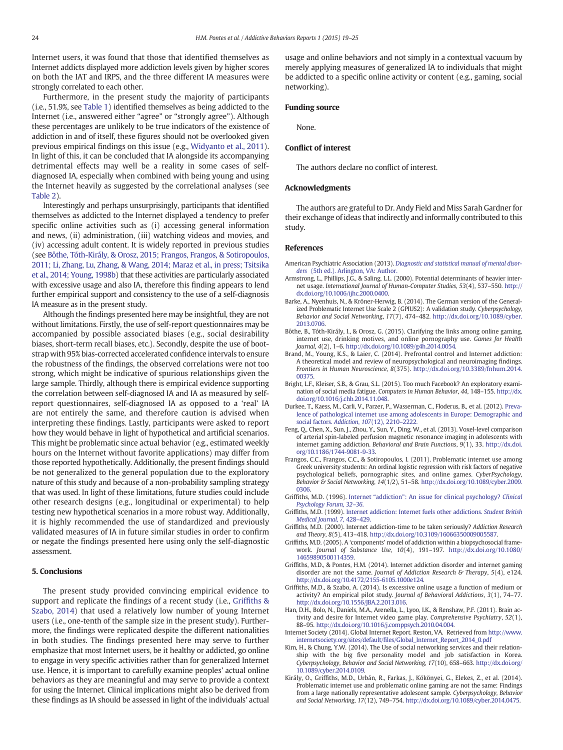<span id="page-6-0"></span>Internet users, it was found that those that identified themselves as Internet addicts displayed more addiction levels given by higher scores on both the IAT and IRPS, and the three different IA measures were strongly correlated to each other.

Furthermore, in the present study the majority of participants (i.e., 51.9%, see [Table 1\)](#page-3-0) identified themselves as being addicted to the Internet (i.e., answered either "agree" or "strongly agree"). Although these percentages are unlikely to be true indicators of the existence of addiction in and of itself, these figures should not be overlooked given previous empirical findings on this issue (e.g., [Widyanto et al., 2011](#page-7-0)). In light of this, it can be concluded that IA alongside its accompanying detrimental effects may well be a reality in some cases of selfdiagnosed IA, especially when combined with being young and using the Internet heavily as suggested by the correlational analyses (see [Table 2](#page-4-0)).

Interestingly and perhaps unsurprisingly, participants that identified themselves as addicted to the Internet displayed a tendency to prefer specific online activities such as (i) accessing general information and news, (ii) administration, (iii) watching videos and movies, and (iv) accessing adult content. It is widely reported in previous studies (see Bőthe, Tóth-Király, & Orosz, 2015; Frangos, Frangos, & Sotiropoulos, 2011; Li, Zhang, Lu, Zhang, & Wang, 2014; Maraz et al., in press; Tsitsika et al., 2014; Young, 1998b) that these activities are particularly associated with excessive usage and also IA, therefore this finding appears to lend further empirical support and consistency to the use of a self-diagnosis IA measure as in the present study.

Although the findings presented here may be insightful, they are not without limitations. Firstly, the use of self-report questionnaires may be accompanied by possible associated biases (e.g., social desirability biases, short-term recall biases, etc.). Secondly, despite the use of bootstrap with 95% bias-corrected accelerated confidence intervals to ensure the robustness of the findings, the observed correlations were not too strong, which might be indicative of spurious relationships given the large sample. Thirdly, although there is empirical evidence supporting the correlation between self-diagnosed IA and IA as measured by selfreport questionnaires, self-diagnosed IA as opposed to a 'real' IA are not entirely the same, and therefore caution is advised when interpreting these findings. Lastly, participants were asked to report how they would behave in light of hypothetical and artificial scenarios. This might be problematic since actual behavior (e.g., estimated weekly hours on the Internet without favorite applications) may differ from those reported hypothetically. Additionally, the present findings should be not generalized to the general population due to the exploratory nature of this study and because of a non-probability sampling strategy that was used. In light of these limitations, future studies could include other research designs (e.g., longitudinal or experimental) to help testing new hypothetical scenarios in a more robust way. Additionally, it is highly recommended the use of standardized and previously validated measures of IA in future similar studies in order to confirm or negate the findings presented here using only the self-diagnostic assessment.

#### 5. Conclusions

The present study provided convincing empirical evidence to support and replicate the findings of a recent study (i.e., Griffiths & Szabo, 2014) that used a relatively low number of young Internet users (i.e., one-tenth of the sample size in the present study). Furthermore, the findings were replicated despite the different nationalities in both studies. The findings presented here may serve to further emphasize that most Internet users, be it healthy or addicted, go online to engage in very specific activities rather than for generalized Internet use. Hence, it is important to carefully examine peoples' actual online behaviors as they are meaningful and may serve to provide a context for using the Internet. Clinical implications might also be derived from these findings as IA should be assessed in light of the individuals' actual

usage and online behaviors and not simply in a contextual vacuum by merely applying measures of generalized IA to individuals that might be addicted to a specific online activity or content (e.g., gaming, social networking).

#### Funding source

None.

#### Conflict of interest

The authors declare no conflict of interest.

#### Acknowledgments

The authors are grateful to Dr. Andy Field and Miss Sarah Gardner for their exchange of ideas that indirectly and informally contributed to this study.

#### References

- American Psychiatric Association (2013). [Diagnostic and statistical manual of mental disor](http://refhub.elsevier.com/S2352-8532(15)00006-1/rf0005)ders [\(5th ed.\). Arlington, VA: Author.](http://refhub.elsevier.com/S2352-8532(15)00006-1/rf0005)
- Armstrong, L., Phillips, J.G., & Saling, L.L. (2000). Potential determinants of heavier internet usage. International Journal of Human-Computer Studies, 53(4), 537–550. http:// dx.doi.org[/10.1006/ijhc.2000.0400](http://dx.doi.org/10.1006/ijhc.2000.0400).
- Barke, A., Nyenhuis, N., & Kröner-Herwig, B. (2014). The German version of the Generalized Problematic Internet Use Scale 2 (GPIUS2): A validation study. Cyberpsychology, Behavior and Social Networking, 17(7), 474–482. http://dx.doi.org[/10.1089/cyber.](http://dx.doi.org/10.1089/cyber.2013.0706) [2013.0706.](http://dx.doi.org/10.1089/cyber.2013.0706)
- Bőthe, B., Tóth-Király, I., & Orosz, G. (2015). Clarifying the links among online gaming, internet use, drinking motives, and online pornography use. Games for Health Journal, 4(2), 1–6. http://dx.doi.org/[10.1089/g4h.2014.0054.](http://dx.doi.org/10.1089/g4h.2014.0054)
- Brand, M., Young, K.S., & Laier, C. (2014). Prefrontal control and Internet addiction: A theoretical model and review of neuropsychological and neuroimaging findings. Frontiers in Human Neuroscience, 8(375). http://dx.doi.org/[10.3389/fnhum.2014.](http://dx.doi.org/10.3389/fnhum.2014.00375) [00375](http://dx.doi.org/10.3389/fnhum.2014.00375).
- Bright, L.F., Kleiser, S.B., & Grau, S.L. (2015). Too much Facebook? An exploratory examination of social media fatigue. Computers in Human Behavior, 44, 148–155. http://dx. doi.org/[10.1016/j.chb.2014.11.048.](http://dx.doi.org/10.1016/j.chb.2014.11.048)
- Durkee, T., Kaess, M., Carli, V., Parzer, P., Wasserman, C., Floderus, B., et al. (2012). [Preva](http://refhub.elsevier.com/S2352-8532(15)00006-1/rf0035)[lence of pathological internet use among adolescents in Europe: Demographic and](http://refhub.elsevier.com/S2352-8532(15)00006-1/rf0035) [social factors.](http://refhub.elsevier.com/S2352-8532(15)00006-1/rf0035) Addiction, 107(12), 2210–2222.
- Feng, Q., Chen, X., Sun, J., Zhou, Y., Sun, Y., Ding, W., et al. (2013). Voxel-level comparison of arterial spin-labeled perfusion magnetic resonance imaging in adolescents with internet gaming addiction. Behavioral and Brain Functions, 9(1), 33. http://dx.doi. org[/10.1186/1744-9081-9-33.](http://dx.doi.org/10.1186/1744-9081-9-33)
- Frangos, C.C., Frangos, C.C., & Sotiropoulos, I. (2011). Problematic internet use among Greek university students: An ordinal logistic regression with risk factors of negative psychological beliefs, pornographic sites, and online games. CyberPsychology, Behavior & Social Networking, 14(1/2), 51–58. http://dx.doi.org/[10.1089/cyber.2009.](http://dx.doi.org/10.1089/cyber.2009.0306) [0306.](http://dx.doi.org/10.1089/cyber.2009.0306)
- Griffiths, M.D. (1996). Internet "addiction"[: An issue for clinical psychology?](http://refhub.elsevier.com/S2352-8532(15)00006-1/rf0050) Clinical [Psychology Forum](http://refhub.elsevier.com/S2352-8532(15)00006-1/rf0050), 32–36.
- Griffiths, M.D. (1999). [Internet addiction: Internet fuels other addictions.](http://refhub.elsevier.com/S2352-8532(15)00006-1/rf0055) Student British [Medical Journal](http://refhub.elsevier.com/S2352-8532(15)00006-1/rf0055), 7, 428–429.
- Griffiths, M.D. (2000). Internet addiction-time to be taken seriously? Addiction Research and Theory, 8(5), 413–418. http://dx.doi.org[/10.3109/16066350009005587.](http://dx.doi.org/10.3109/16066350009005587)
- Griffiths, M.D. (2005). A 'components' model of addiction within a biopsychosocial framework. Journal of Substance Use, 10(4), 191–197. http://dx.doi.org/[10.1080/](http://dx.doi.org/10.1080/14659890500114359) [14659890500114359](http://dx.doi.org/10.1080/14659890500114359).
- Griffiths, M.D., & Pontes, H.M. (2014). Internet addiction disorder and internet gaming disorder are not the same. Journal of Addiction Research & Therapy, 5(4), e124. http://dx.doi.org[/10.4172/2155-6105.1000e124.](http://dx.doi.org/10.4172/2155-6105.1000e124)
- Griffiths, M.D., & Szabo, A. (2014). Is excessive online usage a function of medium or activity? An empirical pilot study. Journal of Behavioral Addictions, 3(1), 74–77. http://dx.doi.org[/10.1556/JBA.2.2013.016.](http://dx.doi.org/10.1556/JBA.2.2013.016)
- Han, D.H., Bolo, N., Daniels, M.A., Arenella, L., Lyoo, I.K., & Renshaw, P.F. (2011). Brain activity and desire for Internet video game play. Comprehensive Psychiatry, 52(1), 88–95. http://dx.doi.org/[10.1016/j.comppsych.2010.04.004.](http://dx.doi.org/10.1016/j.comppsych.2010.04.004)
- Internet Society (2014). Global Internet Report. Reston, VA. Retrieved from [http://www.](http://www.internetsociety.org/sites/default/files/Global_Internet_Report_2014_0.pdf) internetsociety.org/sites/default/fi[les/Global\\_Internet\\_Report\\_2014\\_0.pdf](http://www.internetsociety.org/sites/default/files/Global_Internet_Report_2014_0.pdf)
- Kim, H., & Chung, Y.W. (2014). The Use of social networking services and their relationship with the big five personality model and job satisfaction in Korea. Cyberpsychology, Behavior and Social Networking, 17(10), 658–663. http://dx.doi.org/ [10.1089/cyber.2014.0109](http://dx.doi.org/10.1089/cyber.2014.0109).
- Király, O., Griffiths, M.D., Urbán, R., Farkas, J., Kökönyei, G., Elekes, Z., et al. (2014). Problematic internet use and problematic online gaming are not the same: Findings from a large nationally representative adolescent sample. Cyberpsychology, Behavior and Social Networking, 17(12), 749–754. http://dx.doi.org[/10.1089/cyber.2014.0475.](http://dx.doi.org/10.1089/cyber.2014.0475)